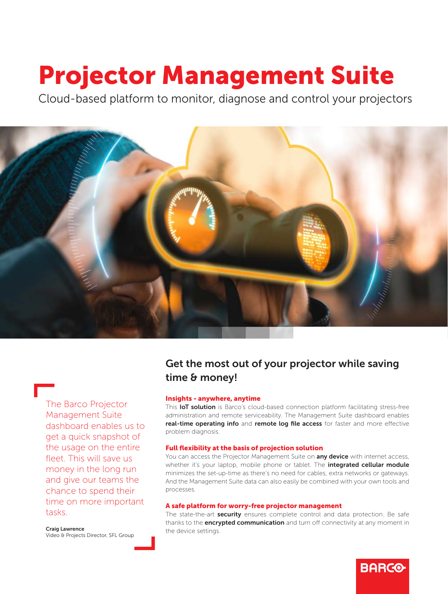# Projector Management Suite

Cloud-based platform to monitor, diagnose and control your projectors



The Barco Projector Management Suite dashboard enables us to get a quick snapshot of the usage on the entire fleet. This will save us money in the long run and give our teams the chance to spend their time on more important tasks.

Craig Lawrence Video & Projects Director, SFL Group

# Get the most out of your projector while saving time & money!

## Insights - anywhere, anytime

This IoT solution is Barco's cloud-based connection platform facilitating stress-free administration and remote serviceability. The Management Suite dashboard enables real-time operating info and remote log file access for faster and more effective problem diagnosis.

### Full flexibility at the basis of projection solution

You can access the Projector Management Suite on **any device** with internet access, whether it's your laptop, mobile phone or tablet. The **integrated cellular module** minimizes the set-up-time as there's no need for cables, extra networks or gateways. And the Management Suite data can also easily be combined with your own tools and processes.

#### A safe platform for worry-free projector management

The state-the-art **security** ensures complete control and data protection. Be safe thanks to the **encrypted communication** and turn off connectivity at any moment in the device settings.

**BARCO**